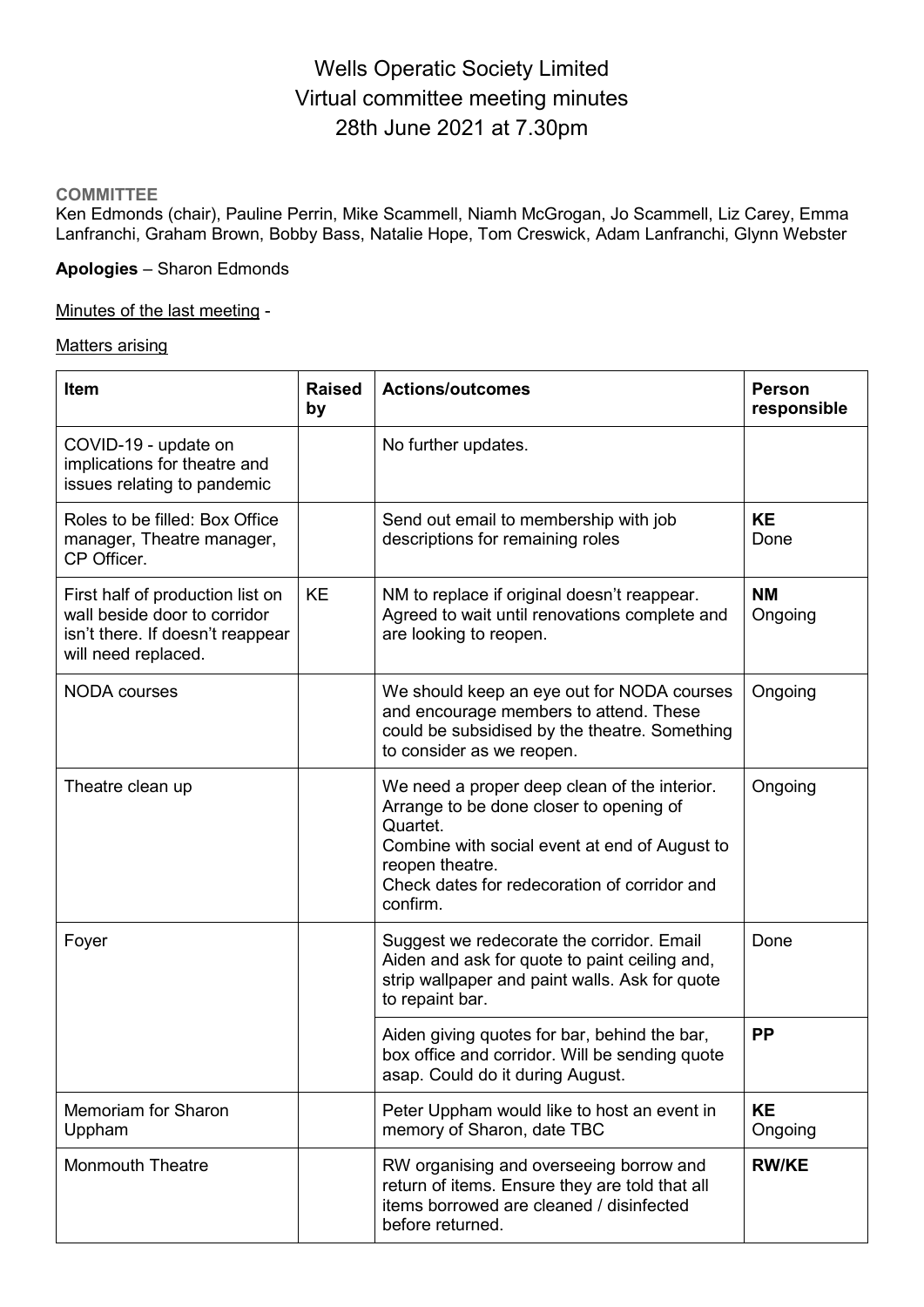# Wells Operatic Society Limited Virtual committee meeting minutes 28th June 2021 at 7.30pm

### **COMMITTEE**

Ken Edmonds (chair), Pauline Perrin, Mike Scammell, Niamh McGrogan, Jo Scammell, Liz Carey, Emma Lanfranchi, Graham Brown, Bobby Bass, Natalie Hope, Tom Creswick, Adam Lanfranchi, Glynn Webster

# **Apologies** – Sharon Edmonds

#### Minutes of the last meeting -

#### Matters arising

| <b>Item</b>                                                                                                                 | <b>Raised</b><br>by | <b>Actions/outcomes</b>                                                                                                                                                                                                             | <b>Person</b><br>responsible |
|-----------------------------------------------------------------------------------------------------------------------------|---------------------|-------------------------------------------------------------------------------------------------------------------------------------------------------------------------------------------------------------------------------------|------------------------------|
| COVID-19 - update on<br>implications for theatre and<br>issues relating to pandemic                                         |                     | No further updates.                                                                                                                                                                                                                 |                              |
| Roles to be filled: Box Office<br>manager, Theatre manager,<br>CP Officer.                                                  |                     | Send out email to membership with job<br>descriptions for remaining roles                                                                                                                                                           | <b>KE</b><br>Done            |
| First half of production list on<br>wall beside door to corridor<br>isn't there. If doesn't reappear<br>will need replaced. | <b>KE</b>           | NM to replace if original doesn't reappear.<br>Agreed to wait until renovations complete and<br>are looking to reopen.                                                                                                              | <b>NM</b><br>Ongoing         |
| <b>NODA</b> courses                                                                                                         |                     | We should keep an eye out for NODA courses<br>and encourage members to attend. These<br>could be subsidised by the theatre. Something<br>to consider as we reopen.                                                                  | Ongoing                      |
| Theatre clean up                                                                                                            |                     | We need a proper deep clean of the interior.<br>Arrange to be done closer to opening of<br>Quartet.<br>Combine with social event at end of August to<br>reopen theatre.<br>Check dates for redecoration of corridor and<br>confirm. | Ongoing                      |
| Foyer                                                                                                                       |                     | Suggest we redecorate the corridor. Email<br>Aiden and ask for quote to paint ceiling and,<br>strip wallpaper and paint walls. Ask for quote<br>to repaint bar.                                                                     | Done                         |
|                                                                                                                             |                     | Aiden giving quotes for bar, behind the bar,<br>box office and corridor. Will be sending quote<br>asap. Could do it during August.                                                                                                  | <b>PP</b>                    |
| <b>Memoriam for Sharon</b><br>Uppham                                                                                        |                     | Peter Uppham would like to host an event in<br>memory of Sharon, date TBC                                                                                                                                                           | <b>KE</b><br>Ongoing         |
| <b>Monmouth Theatre</b>                                                                                                     |                     | RW organising and overseeing borrow and<br>return of items. Ensure they are told that all<br>items borrowed are cleaned / disinfected<br>before returned.                                                                           | <b>RW/KE</b>                 |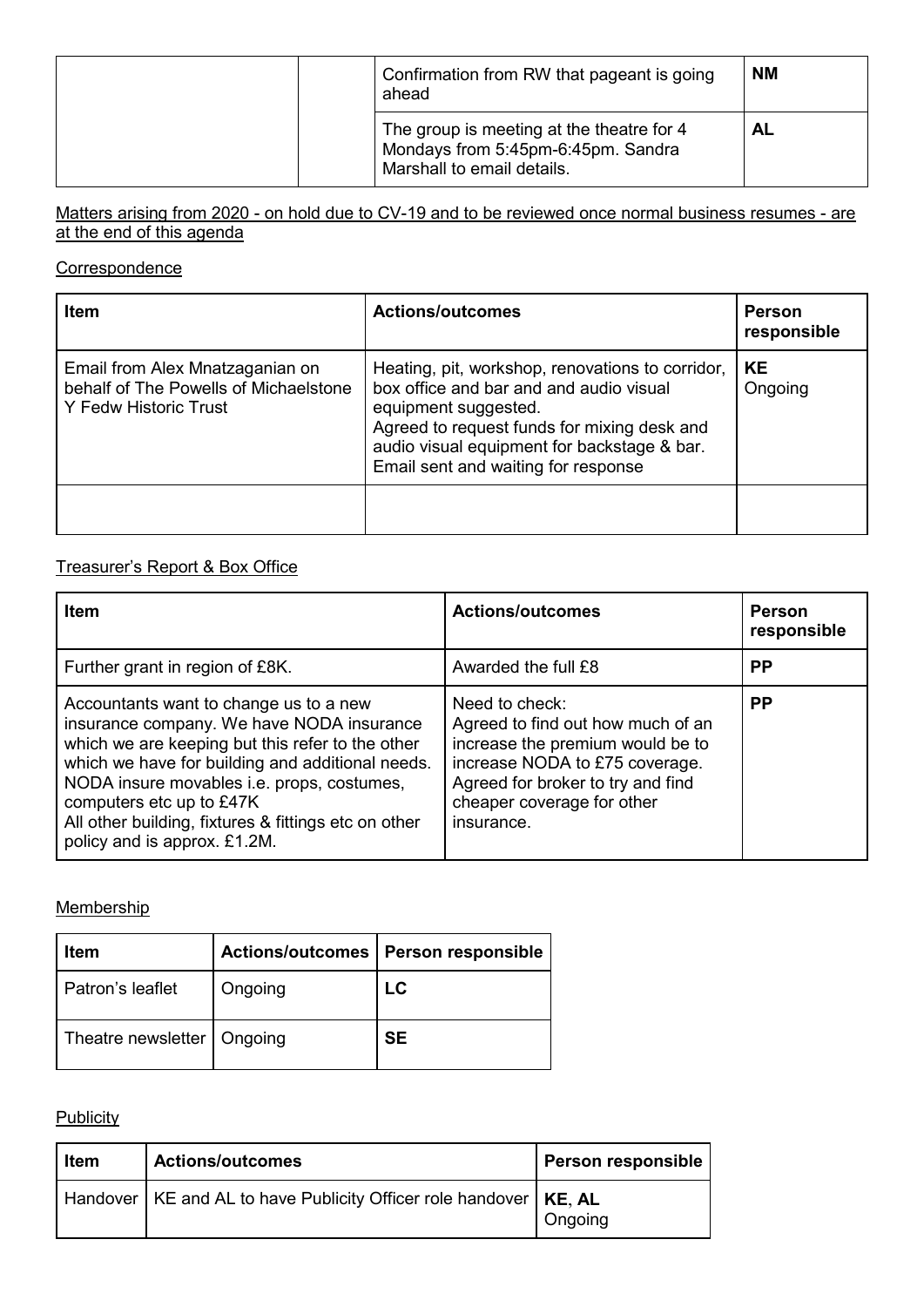|  | Confirmation from RW that pageant is going<br>ahead | <b>NM</b>                                                                                                     |    |
|--|-----------------------------------------------------|---------------------------------------------------------------------------------------------------------------|----|
|  |                                                     | The group is meeting at the theatre for 4<br>Mondays from 5:45pm-6:45pm. Sandra<br>Marshall to email details. | AL |

### Matters arising from 2020 - on hold due to CV-19 and to be reviewed once normal business resumes - are <u>at the end of this agenda</u>

# **Correspondence**

| <b>Item</b>                                                                                              | <b>Actions/outcomes</b>                                                                                                                                                                                                                                  | <b>Person</b><br>responsible |
|----------------------------------------------------------------------------------------------------------|----------------------------------------------------------------------------------------------------------------------------------------------------------------------------------------------------------------------------------------------------------|------------------------------|
| Email from Alex Mnatzaganian on<br>behalf of The Powells of Michaelstone<br><b>Y Fedw Historic Trust</b> | Heating, pit, workshop, renovations to corridor,<br>box office and bar and and audio visual<br>equipment suggested.<br>Agreed to request funds for mixing desk and<br>audio visual equipment for backstage & bar.<br>Email sent and waiting for response | l KE<br>Ongoing              |
|                                                                                                          |                                                                                                                                                                                                                                                          |                              |

### Treasurer's Report & Box Office

| <b>Item</b>                                                                                                                                                                                                                                                                                                                                                   | <b>Actions/outcomes</b>                                                                                                                                                                                    | <b>Person</b><br>responsible |
|---------------------------------------------------------------------------------------------------------------------------------------------------------------------------------------------------------------------------------------------------------------------------------------------------------------------------------------------------------------|------------------------------------------------------------------------------------------------------------------------------------------------------------------------------------------------------------|------------------------------|
| Further grant in region of £8K.                                                                                                                                                                                                                                                                                                                               | Awarded the full £8                                                                                                                                                                                        | <b>PP</b>                    |
| Accountants want to change us to a new<br>insurance company. We have NODA insurance<br>which we are keeping but this refer to the other<br>which we have for building and additional needs.<br>NODA insure movables i.e. props, costumes,<br>computers etc up to £47K<br>All other building, fixtures & fittings etc on other<br>policy and is approx. £1.2M. | Need to check:<br>Agreed to find out how much of an<br>increase the premium would be to<br>increase NODA to £75 coverage.<br>Agreed for broker to try and find<br>cheaper coverage for other<br>insurance. | <b>PP</b>                    |

### **Membership**

| Item                         | <b>Actions/outcomes</b> | <b>Person responsible</b> |
|------------------------------|-------------------------|---------------------------|
| Patron's leaflet             | Ongoing                 | LC                        |
| Theatre newsletter   Ongoing |                         | <b>SE</b>                 |

# **Publicity**

| Item | <b>Actions/outcomes</b>                                                         | <b>Person responsible</b> |
|------|---------------------------------------------------------------------------------|---------------------------|
|      | Handover $\mid$ KE and AL to have Publicity Officer role handover $\mid$ KE, AL | Ongoing                   |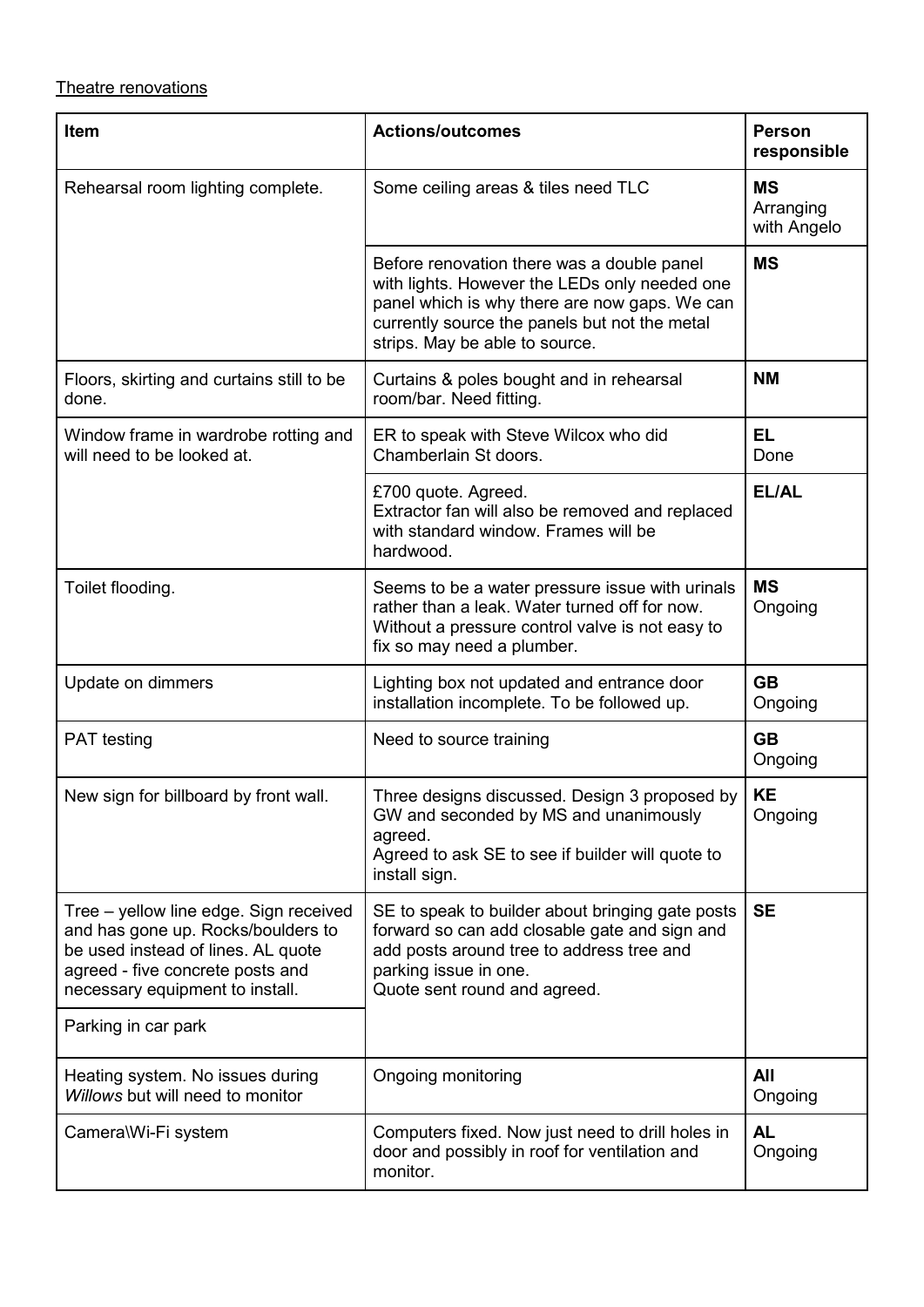# Theatre renovations

| Item                                                                                                                                                                                      | <b>Actions/outcomes</b>                                                                                                                                                                                                         | <b>Person</b><br>responsible          |
|-------------------------------------------------------------------------------------------------------------------------------------------------------------------------------------------|---------------------------------------------------------------------------------------------------------------------------------------------------------------------------------------------------------------------------------|---------------------------------------|
| Rehearsal room lighting complete.                                                                                                                                                         | Some ceiling areas & tiles need TLC                                                                                                                                                                                             | <b>MS</b><br>Arranging<br>with Angelo |
|                                                                                                                                                                                           | Before renovation there was a double panel<br>with lights. However the LEDs only needed one<br>panel which is why there are now gaps. We can<br>currently source the panels but not the metal<br>strips. May be able to source. | <b>MS</b>                             |
| Floors, skirting and curtains still to be<br>done.                                                                                                                                        | Curtains & poles bought and in rehearsal<br>room/bar. Need fitting.                                                                                                                                                             | <b>NM</b>                             |
| Window frame in wardrobe rotting and<br>will need to be looked at.                                                                                                                        | ER to speak with Steve Wilcox who did<br>Chamberlain St doors.                                                                                                                                                                  | <b>EL</b><br>Done                     |
|                                                                                                                                                                                           | £700 quote. Agreed.<br>Extractor fan will also be removed and replaced<br>with standard window. Frames will be<br>hardwood.                                                                                                     | EL/AL                                 |
| Toilet flooding.                                                                                                                                                                          | Seems to be a water pressure issue with urinals<br>rather than a leak. Water turned off for now.<br>Without a pressure control valve is not easy to<br>fix so may need a plumber.                                               | <b>MS</b><br>Ongoing                  |
| Update on dimmers                                                                                                                                                                         | Lighting box not updated and entrance door<br>installation incomplete. To be followed up.                                                                                                                                       | <b>GB</b><br>Ongoing                  |
| <b>PAT</b> testing                                                                                                                                                                        | Need to source training                                                                                                                                                                                                         | <b>GB</b><br>Ongoing                  |
| New sign for billboard by front wall.                                                                                                                                                     | Three designs discussed. Design 3 proposed by<br>GW and seconded by MS and unanimously<br>agreed.<br>Agreed to ask SE to see if builder will quote to<br>install sign.                                                          | <b>KE</b><br>Ongoing                  |
| Tree - yellow line edge. Sign received<br>and has gone up. Rocks/boulders to<br>be used instead of lines. AL quote<br>agreed - five concrete posts and<br>necessary equipment to install. | SE to speak to builder about bringing gate posts<br>forward so can add closable gate and sign and<br>add posts around tree to address tree and<br>parking issue in one.<br>Quote sent round and agreed.                         | <b>SE</b>                             |
| Parking in car park                                                                                                                                                                       |                                                                                                                                                                                                                                 |                                       |
| Heating system. No issues during<br>Willows but will need to monitor                                                                                                                      | Ongoing monitoring                                                                                                                                                                                                              | All<br>Ongoing                        |
| Camera\Wi-Fi system                                                                                                                                                                       | Computers fixed. Now just need to drill holes in<br>door and possibly in roof for ventilation and<br>monitor.                                                                                                                   | <b>AL</b><br>Ongoing                  |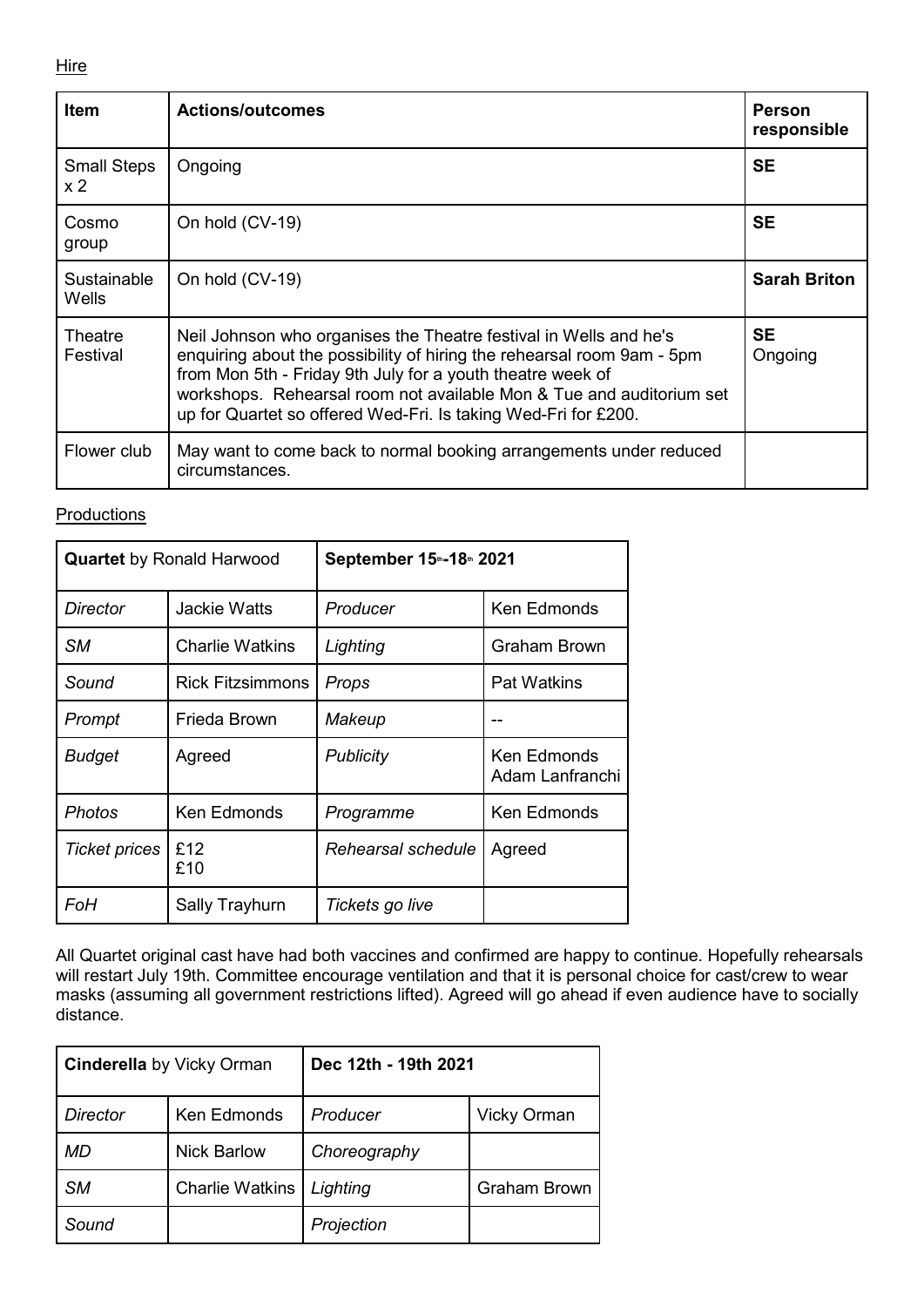#### **Hire**

| <b>Item</b>                 | <b>Actions/outcomes</b>                                                                                                                                                                                                                                                                                                                             | Person<br>responsible |
|-----------------------------|-----------------------------------------------------------------------------------------------------------------------------------------------------------------------------------------------------------------------------------------------------------------------------------------------------------------------------------------------------|-----------------------|
| <b>Small Steps</b><br>x 2   | Ongoing                                                                                                                                                                                                                                                                                                                                             | <b>SE</b>             |
| Cosmo<br>group              | On hold (CV-19)                                                                                                                                                                                                                                                                                                                                     | <b>SE</b>             |
| Sustainable<br><b>Wells</b> | On hold (CV-19)                                                                                                                                                                                                                                                                                                                                     | <b>Sarah Briton</b>   |
| Theatre<br>Festival         | Neil Johnson who organises the Theatre festival in Wells and he's<br>enquiring about the possibility of hiring the rehearsal room 9am - 5pm<br>from Mon 5th - Friday 9th July for a youth theatre week of<br>workshops. Rehearsal room not available Mon & Tue and auditorium set<br>up for Quartet so offered Wed-Fri. Is taking Wed-Fri for £200. | <b>SE</b><br>Ongoing  |
| Flower club                 | May want to come back to normal booking arrangements under reduced<br>circumstances.                                                                                                                                                                                                                                                                |                       |

#### **Productions**

| <b>Quartet</b> by Ronald Harwood |                         | September 15th-18th 2021 |                                |  |
|----------------------------------|-------------------------|--------------------------|--------------------------------|--|
| Director                         | <b>Jackie Watts</b>     | Producer                 | <b>Ken Edmonds</b>             |  |
| SМ                               | <b>Charlie Watkins</b>  | Lighting                 | <b>Graham Brown</b>            |  |
| Sound                            | <b>Rick Fitzsimmons</b> | Props                    | <b>Pat Watkins</b>             |  |
| Prompt                           | Frieda Brown            | Makeup                   |                                |  |
| <b>Budget</b>                    | Agreed                  | Publicity                | Ken Edmonds<br>Adam Lanfranchi |  |
| Photos                           | <b>Ken Edmonds</b>      | Programme                | <b>Ken Edmonds</b>             |  |
| <b>Ticket prices</b>             | £12<br>£10              | Rehearsal schedule       | Agreed                         |  |
| FoH                              | Sally Trayhurn          | Tickets go live          |                                |  |

All Quartet original cast have had both vaccines and confirmed are happy to continue. Hopefully rehearsals will restart July 19th. Committee encourage ventilation and that it is personal choice for cast/crew to wear masks (assuming all government restrictions lifted). Agreed will go ahead if even audience have to socially distance.

| <b>Cinderella</b> by Vicky Orman |                        | Dec 12th - 19th 2021 |                     |  |
|----------------------------------|------------------------|----------------------|---------------------|--|
| <b>Director</b>                  | Ken Edmonds            | Producer             | <b>Vicky Orman</b>  |  |
| MD                               | <b>Nick Barlow</b>     | Choreography         |                     |  |
| <b>SM</b>                        | <b>Charlie Watkins</b> | Lighting             | <b>Graham Brown</b> |  |
| Sound                            |                        | Projection           |                     |  |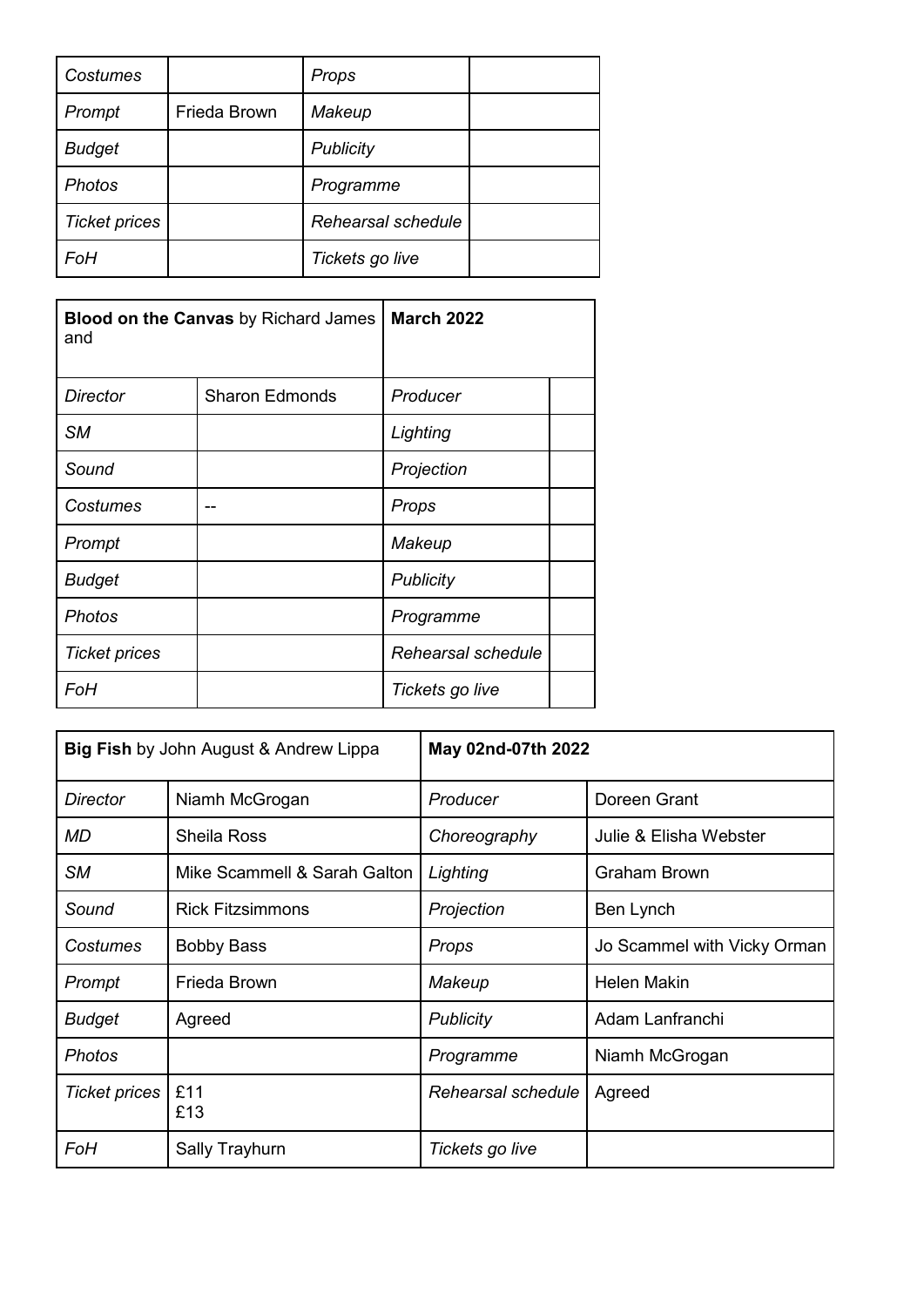| Costumes             |              | Props              |  |
|----------------------|--------------|--------------------|--|
| Prompt               | Frieda Brown | Makeup             |  |
| <b>Budget</b>        |              | Publicity          |  |
| <b>Photos</b>        |              | Programme          |  |
| <b>Ticket prices</b> |              | Rehearsal schedule |  |
| FoH                  |              | Tickets go live    |  |

| <b>Blood on the Canvas by Richard James</b><br>and |                       | <b>March 2022</b>  |  |
|----------------------------------------------------|-----------------------|--------------------|--|
| Director                                           | <b>Sharon Edmonds</b> | Producer           |  |
| <b>SM</b>                                          |                       | Lighting           |  |
| Sound                                              |                       | Projection         |  |
| Costumes                                           |                       | Props              |  |
| Prompt                                             |                       | Makeup             |  |
| <b>Budget</b>                                      |                       | Publicity          |  |
| <b>Photos</b>                                      |                       | Programme          |  |
| <b>Ticket prices</b>                               |                       | Rehearsal schedule |  |
| FoH                                                |                       | Tickets go live    |  |

| Big Fish by John August & Andrew Lippa |                              | May 02nd-07th 2022 |                             |  |
|----------------------------------------|------------------------------|--------------------|-----------------------------|--|
| Director                               | Niamh McGrogan               | Producer           | Doreen Grant                |  |
| <b>MD</b>                              | <b>Sheila Ross</b>           | Choreography       | Julie & Elisha Webster      |  |
| <b>SM</b>                              | Mike Scammell & Sarah Galton | Lighting           | <b>Graham Brown</b>         |  |
| Sound                                  | <b>Rick Fitzsimmons</b>      | Projection         | Ben Lynch                   |  |
| Costumes                               | <b>Bobby Bass</b>            | Props              | Jo Scammel with Vicky Orman |  |
| Prompt                                 | Frieda Brown                 | Makeup             | <b>Helen Makin</b>          |  |
| <b>Budget</b>                          | Agreed                       | <b>Publicity</b>   | Adam Lanfranchi             |  |
| <b>Photos</b>                          |                              | Programme          | Niamh McGrogan              |  |
| <b>Ticket prices</b>                   | £11<br>£13                   | Rehearsal schedule | Agreed                      |  |
| FoH                                    | Sally Trayhurn               | Tickets go live    |                             |  |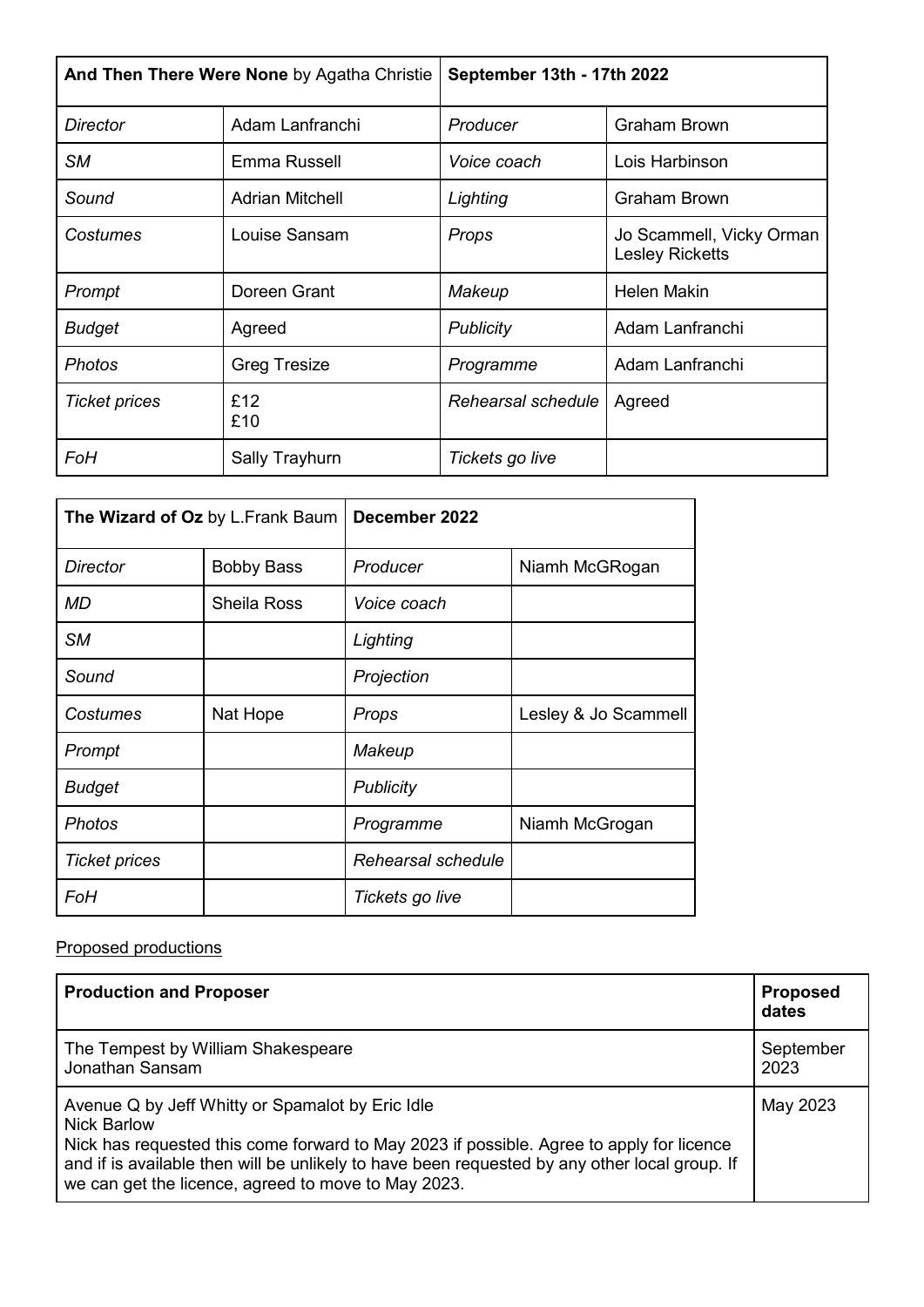| And Then There Were None by Agatha Christie |                        | September 13th - 17th 2022 |                                                    |
|---------------------------------------------|------------------------|----------------------------|----------------------------------------------------|
| <b>Director</b>                             | Adam Lanfranchi        | Producer                   | <b>Graham Brown</b>                                |
| <b>SM</b>                                   | Emma Russell           | Voice coach                | Lois Harbinson                                     |
| Sound                                       | <b>Adrian Mitchell</b> | Lighting                   | Graham Brown                                       |
| Costumes                                    | Louise Sansam          | Props                      | Jo Scammell, Vicky Orman<br><b>Lesley Ricketts</b> |
| Prompt                                      | Doreen Grant           | Makeup                     | <b>Helen Makin</b>                                 |
| <b>Budget</b>                               | Agreed                 | <b>Publicity</b>           | Adam Lanfranchi                                    |
| <b>Photos</b>                               | <b>Greg Tresize</b>    | Programme                  | Adam Lanfranchi                                    |
| <b>Ticket prices</b>                        | £12<br>£10             | Rehearsal schedule         | Agreed                                             |
| FoH                                         | Sally Trayhurn         | Tickets go live            |                                                    |

| The Wizard of Oz by L.Frank Baum |                    | December 2022      |                      |
|----------------------------------|--------------------|--------------------|----------------------|
| <b>Director</b>                  | <b>Bobby Bass</b>  | Producer           | Niamh McGRogan       |
| MD                               | <b>Sheila Ross</b> | Voice coach        |                      |
| <b>SM</b>                        |                    | Lighting           |                      |
| Sound                            |                    | Projection         |                      |
| Costumes                         | Nat Hope           | Props              | Lesley & Jo Scammell |
| Prompt                           |                    | Makeup             |                      |
| <b>Budget</b>                    |                    | Publicity          |                      |
| <b>Photos</b>                    |                    | Programme          | Niamh McGrogan       |
| <b>Ticket prices</b>             |                    | Rehearsal schedule |                      |
| FoH                              |                    | Tickets go live    |                      |

### Proposed productions

| <b>Production and Proposer</b>                                                                                                                                                                                                                                                                                             | <b>Proposed</b><br>dates |
|----------------------------------------------------------------------------------------------------------------------------------------------------------------------------------------------------------------------------------------------------------------------------------------------------------------------------|--------------------------|
| The Tempest by William Shakespeare<br>Jonathan Sansam                                                                                                                                                                                                                                                                      | September<br>2023        |
| Avenue Q by Jeff Whitty or Spamalot by Eric Idle<br><b>Nick Barlow</b><br>Nick has requested this come forward to May 2023 if possible. Agree to apply for licence<br>and if is available then will be unlikely to have been requested by any other local group. If<br>we can get the licence, agreed to move to May 2023. | May 2023                 |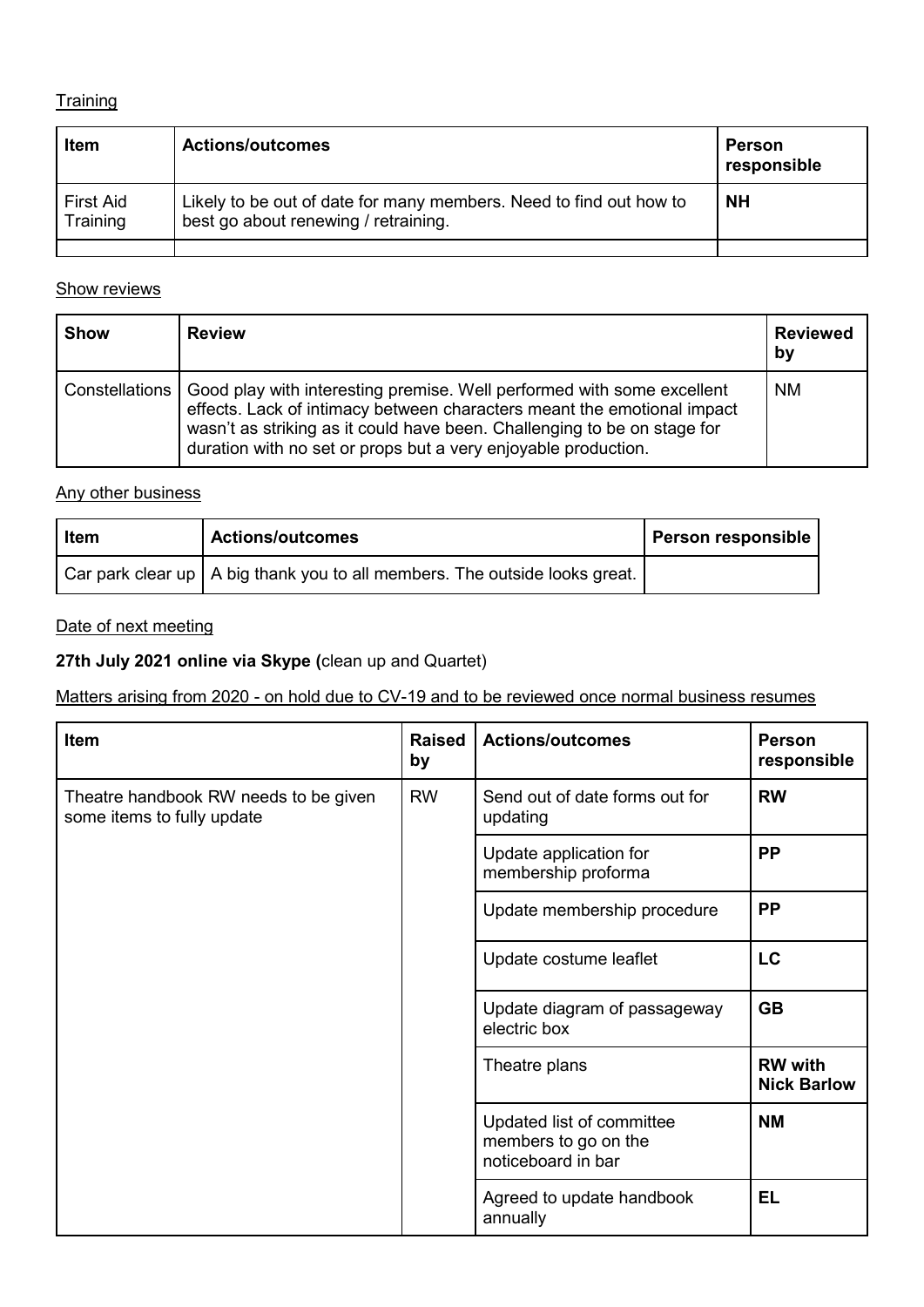### **Training**

| Item                  | <b>Actions/outcomes</b>                                                                                    | Person<br>responsible |
|-----------------------|------------------------------------------------------------------------------------------------------------|-----------------------|
| First Aid<br>Training | Likely to be out of date for many members. Need to find out how to<br>best go about renewing / retraining. | <b>NH</b>             |
|                       |                                                                                                            |                       |

### Show reviews

| <b>Show</b> | <b>Review</b>                                                                                                                                                                                                                                                                                                    | <b>Reviewed</b><br>by |
|-------------|------------------------------------------------------------------------------------------------------------------------------------------------------------------------------------------------------------------------------------------------------------------------------------------------------------------|-----------------------|
|             | Constellations   Good play with interesting premise. Well performed with some excellent<br>effects. Lack of intimacy between characters meant the emotional impact<br>wasn't as striking as it could have been. Challenging to be on stage for<br>duration with no set or props but a very enjoyable production. | <b>NM</b>             |

### Any other business

| <b>া</b> tem | <b>Actions/outcomes</b>                                                      | <b>Person responsible</b> |
|--------------|------------------------------------------------------------------------------|---------------------------|
|              | Car park clear up   A big thank you to all members. The outside looks great. |                           |

### Date of next meeting

# **27th July 2021 online via Skype (**clean up and Quartet)

# Matters arising from 2020 - on hold due to CV-19 and to be reviewed once normal business resumes

| <b>Item</b>                                                         | <b>Raised</b><br>by | <b>Actions/outcomes</b>                                                 | Person<br>responsible                |
|---------------------------------------------------------------------|---------------------|-------------------------------------------------------------------------|--------------------------------------|
| Theatre handbook RW needs to be given<br>some items to fully update | <b>RW</b>           | Send out of date forms out for<br>updating                              | <b>RW</b>                            |
|                                                                     |                     | Update application for<br>membership proforma                           | <b>PP</b>                            |
|                                                                     |                     | Update membership procedure                                             | <b>PP</b>                            |
|                                                                     |                     | Update costume leaflet                                                  | LC                                   |
|                                                                     |                     | Update diagram of passageway<br>electric box                            | <b>GB</b>                            |
|                                                                     |                     | Theatre plans                                                           | <b>RW</b> with<br><b>Nick Barlow</b> |
|                                                                     |                     | Updated list of committee<br>members to go on the<br>noticeboard in bar | <b>NM</b>                            |
|                                                                     |                     | Agreed to update handbook<br>annually                                   | <b>EL</b>                            |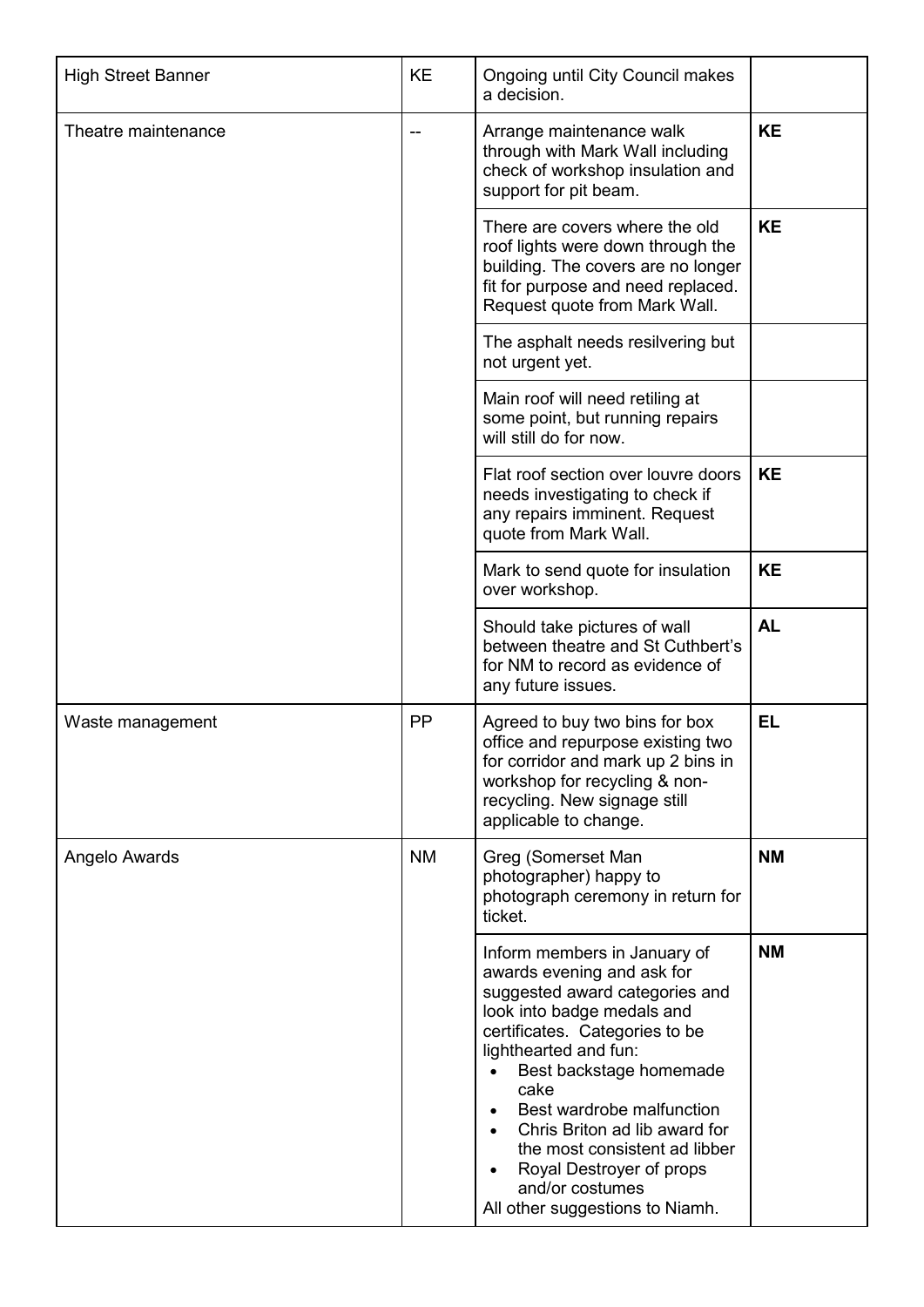| <b>High Street Banner</b> | <b>KE</b> | <b>Ongoing until City Council makes</b><br>a decision.                                                                                                                                                                                                                                                                                                                                                                                           |           |
|---------------------------|-----------|--------------------------------------------------------------------------------------------------------------------------------------------------------------------------------------------------------------------------------------------------------------------------------------------------------------------------------------------------------------------------------------------------------------------------------------------------|-----------|
| Theatre maintenance       |           | Arrange maintenance walk<br>through with Mark Wall including<br>check of workshop insulation and<br>support for pit beam.                                                                                                                                                                                                                                                                                                                        | <b>KE</b> |
|                           |           | There are covers where the old<br>roof lights were down through the<br>building. The covers are no longer<br>fit for purpose and need replaced.<br>Request quote from Mark Wall.                                                                                                                                                                                                                                                                 | <b>KE</b> |
|                           |           | The asphalt needs resilvering but<br>not urgent yet.                                                                                                                                                                                                                                                                                                                                                                                             |           |
|                           |           | Main roof will need retiling at<br>some point, but running repairs<br>will still do for now.                                                                                                                                                                                                                                                                                                                                                     |           |
|                           |           | Flat roof section over louvre doors<br>needs investigating to check if<br>any repairs imminent. Request<br>quote from Mark Wall.                                                                                                                                                                                                                                                                                                                 | <b>KE</b> |
|                           |           | Mark to send quote for insulation<br>over workshop.                                                                                                                                                                                                                                                                                                                                                                                              | <b>KE</b> |
|                           |           | Should take pictures of wall<br>between theatre and St Cuthbert's<br>for NM to record as evidence of<br>any future issues.                                                                                                                                                                                                                                                                                                                       | <b>AL</b> |
| Waste management          | <b>PP</b> | Agreed to buy two bins for box<br>office and repurpose existing two<br>for corridor and mark up 2 bins in<br>workshop for recycling & non-<br>recycling. New signage still<br>applicable to change.                                                                                                                                                                                                                                              | <b>EL</b> |
| Angelo Awards             | <b>NM</b> | Greg (Somerset Man<br>photographer) happy to<br>photograph ceremony in return for<br>ticket.                                                                                                                                                                                                                                                                                                                                                     | <b>NM</b> |
|                           |           | Inform members in January of<br>awards evening and ask for<br>suggested award categories and<br>look into badge medals and<br>certificates. Categories to be<br>lighthearted and fun:<br>Best backstage homemade<br>cake<br>Best wardrobe malfunction<br>$\bullet$<br>Chris Briton ad lib award for<br>$\bullet$<br>the most consistent ad libber<br>Royal Destroyer of props<br>$\bullet$<br>and/or costumes<br>All other suggestions to Niamh. | <b>NM</b> |